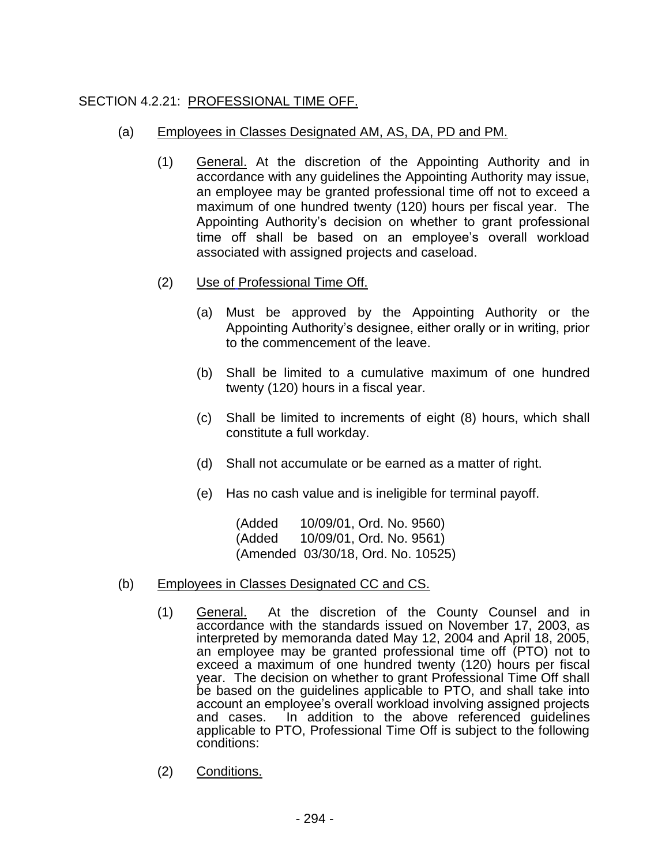## SECTION 4.2.21: PROFESSIONAL TIME OFF.

## (a) Employees in Classes Designated AM, AS, DA, PD and PM.

- (1) General. At the discretion of the Appointing Authority and in accordance with any guidelines the Appointing Authority may issue, an employee may be granted professional time off not to exceed a maximum of one hundred twenty (120) hours per fiscal year. The Appointing Authority's decision on whether to grant professional time off shall be based on an employee's overall workload associated with assigned projects and caseload.
- (2) Use of Professional Time Off.
	- (a) Must be approved by the Appointing Authority or the Appointing Authority's designee, either orally or in writing, prior to the commencement of the leave.
	- (b) Shall be limited to a cumulative maximum of one hundred twenty (120) hours in a fiscal year.
	- (c) Shall be limited to increments of eight (8) hours, which shall constitute a full workday.
	- (d) Shall not accumulate or be earned as a matter of right.
	- (e) Has no cash value and is ineligible for terminal payoff.

(Added 10/09/01, Ord. No. 9560) (Added 10/09/01, Ord. No. 9561) (Amended 03/30/18, Ord. No. 10525)

## (b) Employees in Classes Designated CC and CS.

- (1) General. At the discretion of the County Counsel and in accordance with the standards issued on November 17, 2003, as interpreted by memoranda dated May 12, 2004 and April 18, 2005, an employee may be granted professional time off (PTO) not to exceed a maximum of one hundred twenty (120) hours per fiscal year. The decision on whether to grant Professional Time Off shall be based on the guidelines applicable to PTO, and shall take into account an employee's overall workload involving assigned projects and cases. In addition to the above referenced guidelines applicable to PTO, Professional Time Off is subject to the following conditions:
- (2) Conditions.